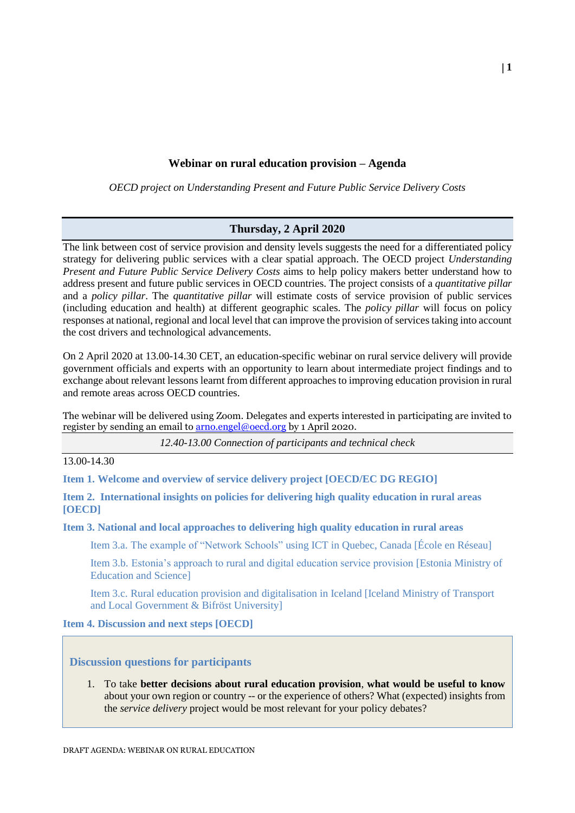## **Webinar on rural education provision – Agenda**

*OECD project on Understanding Present and Future Public Service Delivery Costs*

## **Thursday, 2 April 2020**

The link between cost of service provision and density levels suggests the need for a differentiated policy strategy for delivering public services with a clear spatial approach. The OECD project *Understanding Present and Future Public Service Delivery Costs* aims to help policy makers better understand how to address present and future public services in OECD countries. The project consists of a *quantitative pillar* and a *policy pillar*. The *quantitative pillar* will estimate costs of service provision of public services (including education and health) at different geographic scales. The *policy pillar* will focus on policy responses at national, regional and local level that can improve the provision of services taking into account the cost drivers and technological advancements.

On 2 April 2020 at 13.00-14.30 CET, an education-specific webinar on rural service delivery will provide government officials and experts with an opportunity to learn about intermediate project findings and to exchange about relevant lessons learnt from different approaches to improving education provision in rural and remote areas across OECD countries.

The webinar will be delivered using Zoom. Delegates and experts interested in participating are invited to register by sending an email to **arno.engel@oecd.org** by 1 April 2020.

*12.40-13.00 Connection of participants and technical check*

13.00-14.30

**Item 1. Welcome and overview of service delivery project [OECD/EC DG REGIO]**

**Item 2. International insights on policies for delivering high quality education in rural areas [OECD]**

**Item 3. National and local approaches to delivering high quality education in rural areas**

Item 3.a. The example of "Network Schools" using ICT in Quebec, Canada [École en Réseau]

Item 3.b. Estonia's approach to rural and digital education service provision [Estonia Ministry of Education and Science]

Item 3.c. Rural education provision and digitalisation in Iceland [Iceland Ministry of Transport and Local Government & Bifröst University]

## **Item 4. Discussion and next steps [OECD]**

**Discussion questions for participants**

1. To take **better decisions about rural education provision**, **what would be useful to know** about your own region or country -- or the experience of others? What (expected) insights from the *service delivery* project would be most relevant for your policy debates?